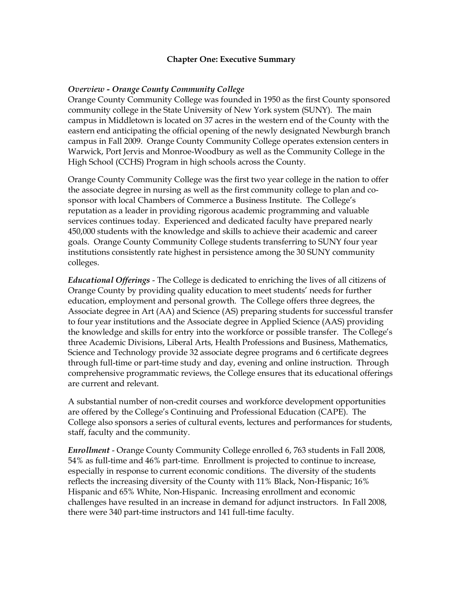#### **Chapter One: Executive Summary**

#### *Overview Orange County Community College*

Orange County Community College was founded in 1950 as the first County sponsored community college in the State University of New York system (SUNY). The main campus in Middletown is located on 37 acres in the western end of the County with the eastern end anticipating the official opening of the newly designated Newburgh branch campus in Fall 2009. Orange County Community College operates extension centers in Warwick, Port Jervis and Monroe-Woodbury as well as the Community College in the High School (CCHS) Program in high schools across the County.

Orange County Community College was the first two year college in the nation to offer the associate degree in nursing as well as the first community college to plan and cosponsor with local Chambers of Commerce a Business Institute. The College's reputation as a leader in providing rigorous academic programming and valuable services continues today. Experienced and dedicated faculty have prepared nearly 450,000 students with the knowledge and skills to achieve their academic and career goals. Orange County Community College students transferring to SUNY four year institutions consistently rate highest in persistence among the 30 SUNY community colleges.

*Educational Offerings* The College is dedicated to enriching the lives of all citizens of Orange County by providing quality education to meet students' needs for further education, employment and personal growth. The College offers three degrees, the Associate degree in Art (AA) and Science (AS) preparing students for successful transfer to four year institutions and the Associate degree in Applied Science (AAS) providing the knowledge and skills for entry into the workforce or possible transfer. The College's three Academic Divisions, Liberal Arts, Health Professions and Business, Mathematics, Science and Technology provide 32 associate degree programs and 6 certificate degrees through full-time or part-time study and day, evening and online instruction. Through comprehensive programmatic reviews, the College ensures that its educational offerings are current and relevant.

A substantial number of non-credit courses and workforce development opportunities are offered by the College's Continuing and Professional Education (CAPE). The College also sponsors a series of cultural events, lectures and performances for students, staff, faculty and the community.

*Enrollment* - Orange County Community College enrolled 6, 763 students in Fall 2008, 54% as full-time and 46% part-time. Enrollment is projected to continue to increase, especially in response to current economic conditions. The diversity of the students reflects the increasing diversity of the County with 11% Black, Non-Hispanic; 16% Hispanic and 65% White, Non-Hispanic. Increasing enrollment and economic challenges have resulted in an increase in demand for adjunct instructors. In Fall 2008, there were 340 part-time instructors and 141 full-time faculty.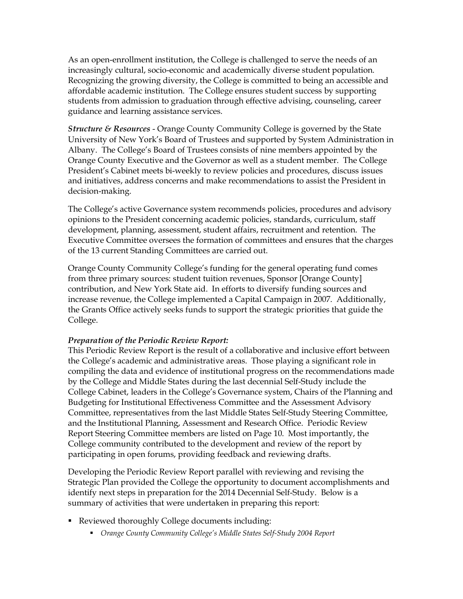As an open-enrollment institution, the College is challenged to serve the needs of an increasingly cultural, socio-economic and academically diverse student population. Recognizing the growing diversity, the College is committed to being an accessible and affordable academic institution. The College ensures student success by supporting students from admission to graduation through effective advising, counseling, career guidance and learning assistance services.

*Structure & Resources* Orange County Community College is governed by the State University of New York's Board of Trustees and supported by System Administration in Albany. The College's Board of Trustees consists of nine members appointed by the Orange County Executive and the Governor as well as a student member. The College President's Cabinet meets bi-weekly to review policies and procedures, discuss issues and initiatives, address concerns and make recommendations to assist the President in decision-making.

The College's active Governance system recommends policies, procedures and advisory opinions to the President concerning academic policies, standards, curriculum, staff development, planning, assessment, student affairs, recruitment and retention. The Executive Committee oversees the formation of committees and ensures that the charges of the 13 current Standing Committees are carried out.

Orange County Community College's funding for the general operating fund comes from three primary sources: student tuition revenues, Sponsor [Orange County] contribution, and New York State aid. In efforts to diversify funding sources and increase revenue, the College implemented a Capital Campaign in 2007. Additionally, the Grants Office actively seeks funds to support the strategic priorities that guide the College.

## *Preparation of the Periodic Review Report:*

This Periodic Review Report is the result of a collaborative and inclusive effort between the College's academic and administrative areas. Those playing a significant role in compiling the data and evidence of institutional progress on the recommendations made by the College and Middle States during the last decennial Self-Study include the College Cabinet, leaders in the College's Governance system, Chairs of the Planning and Budgeting for Institutional Effectiveness Committee and the Assessment Advisory Committee, representatives from the last Middle States Self-Study Steering Committee, and the Institutional Planning, Assessment and Research Office. Periodic Review Report Steering Committee members are listed on Page 10. Most importantly, the College community contributed to the development and review of the report by participating in open forums, providing feedback and reviewing drafts.

Developing the Periodic Review Report parallel with reviewing and revising the Strategic Plan provided the College the opportunity to document accomplishments and identify next steps in preparation for the 2014 Decennial Self-Study. Below is a summary of activities that were undertaken in preparing this report:

- Reviewed thoroughly College documents including:
	- ß *Orange County Community College's Middle States SelfStudy 2004 Report*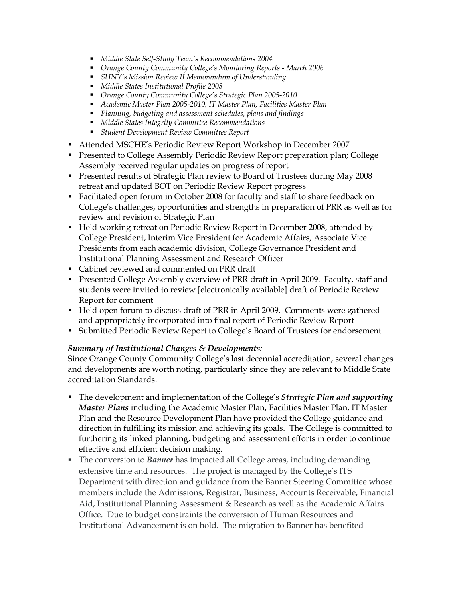- ß *Middle State SelfStudy Team's Recommendations 2004*
- ß *Orange County Community College's Monitoring Reports March 2006*
- ß *SUNY's Mission Review II Memorandum of Understanding*
- ß *Middle States Institutional Profile 2008*
- ß *Orange County Community College's Strategic Plan 20052010*
- ß *Academic Master Plan 20052010, IT Master Plan, Facilities Master Plan*
- ß *Planning, budgeting and assessment schedules, plans and findings*
- ß *Middle States Integrity Committee Recommendations*
- ß *Student Development Review Committee Report*
- ß Attended MSCHE's Periodic Review Report Workshop in December 2007
- **Presented to College Assembly Periodic Review Report preparation plan; College** Assembly received regular updates on progress of report
- **Presented results of Strategic Plan review to Board of Trustees during May 2008** retreat and updated BOT on Periodic Review Report progress
- ß Facilitated open forum in October 2008 for faculty and staff to share feedback on College's challenges, opportunities and strengths in preparation of PRR as well as for review and revision of Strategic Plan
- **•** Held working retreat on Periodic Review Report in December 2008, attended by College President, Interim Vice President for Academic Affairs, Associate Vice Presidents from each academic division, College Governance President and Institutional Planning Assessment and Research Officer
- Cabinet reviewed and commented on PRR draft
- **Presented College Assembly overview of PRR draft in April 2009. Faculty, staff and** students were invited to review [electronically available] draft of Periodic Review Report for comment
- **Held open forum to discuss draft of PRR in April 2009. Comments were gathered** and appropriately incorporated into final report of Periodic Review Report
- **Submitted Periodic Review Report to College's Board of Trustees for endorsement**

## *Summary of Institutional Changes & Developments:*

Since Orange County Community College's last decennial accreditation, several changes and developments are worth noting, particularly since they are relevant to Middle State accreditation Standards.

- ß The development and implementation of the College's *Strategic Plan and supporting Master Plans* including the Academic Master Plan, Facilities Master Plan, IT Master Plan and the Resource Development Plan have provided the College guidance and direction in fulfilling its mission and achieving its goals. The College is committed to furthering its linked planning, budgeting and assessment efforts in order to continue effective and efficient decision making.
- **The conversion to** *Banner* has impacted all College areas, including demanding extensive time and resources. The project is managed by the College's ITS Department with direction and guidance from the Banner Steering Committee whose members include the Admissions, Registrar, Business, Accounts Receivable, Financial Aid, Institutional Planning Assessment & Research as well as the Academic Affairs Office. Due to budget constraints the conversion of Human Resources and Institutional Advancement is on hold. The migration to Banner has benefited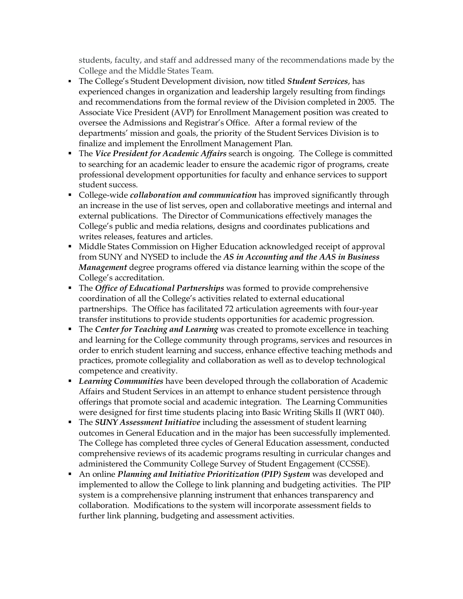students, faculty, and staff and addressed many of the recommendations made by the College and the Middle States Team.

- **The College's Student Development division, now titled** *Student Services***, has** experienced changes in organization and leadership largely resulting from findings and recommendations from the formal review of the Division completed in 2005. The Associate Vice President (AVP) for Enrollment Management position was created to oversee the Admissions and Registrar's Office. After a formal review of the departments' mission and goals, the priority of the Student Services Division is to finalize and implement the Enrollment Management Plan.
- ß The *Vice President for Academic Affairs* search is ongoing. The College is committed to searching for an academic leader to ensure the academic rigor of programs, create professional development opportunities for faculty and enhance services to support student success.
- **College-wide** *collaboration* and *communication* has improved significantly through an increase in the use of list serves, open and collaborative meetings and internal and external publications. The Director of Communications effectively manages the College's public and media relations, designs and coordinates publications and writes releases, features and articles.
- **Middle States Commission on Higher Education acknowledged receipt of approval** from SUNY and NYSED to include the *AS in Accounting and the AAS in Business Management* degree programs offered via distance learning within the scope of the College's accreditation.
- **The Office of Educational Partnerships** was formed to provide comprehensive coordination of all the College's activities related to external educational partnerships. The Office has facilitated 72 articulation agreements with four-year transfer institutions to provide students opportunities for academic progression.
- **The Center for Teaching and Learning** was created to promote excellence in teaching and learning for the College community through programs, services and resources in order to enrich student learning and success, enhance effective teaching methods and practices, promote collegiality and collaboration as well as to develop technological competence and creativity.
- **Example 3** *Learning Communities* have been developed through the collaboration of Academic Affairs and Student Services in an attempt to enhance student persistence through offerings that promote social and academic integration. The Learning Communities were designed for first time students placing into Basic Writing Skills II (WRT 040).
- **The SUNY Assessment Initiative including the assessment of student learning** outcomes in General Education and in the major has been successfully implemented. The College has completed three cycles of General Education assessment, conducted comprehensive reviews of its academic programs resulting in curricular changes and administered the Community College Survey of Student Engagement (CCSSE).
- ß An online *Planning and Initiative Prioritization (PIP) System* was developed and implemented to allow the College to link planning and budgeting activities. The PIP system is a comprehensive planning instrument that enhances transparency and collaboration. Modifications to the system will incorporate assessment fields to further link planning, budgeting and assessment activities.